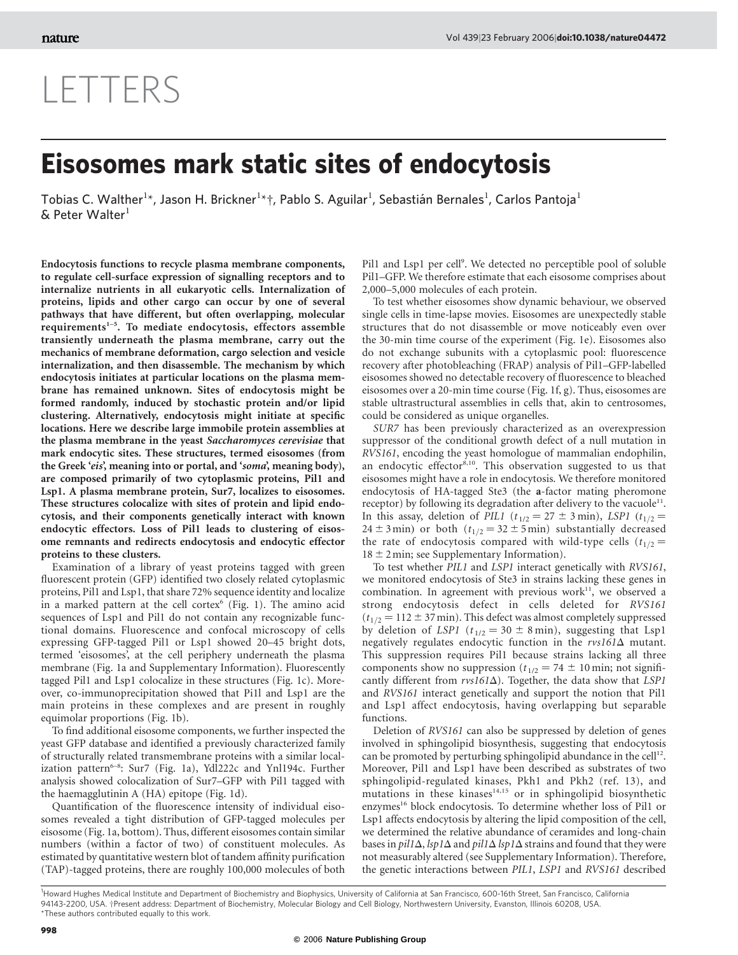## LETTERS

## Eisosomes mark static sites of endocytosis

Tobias C. Walther<sup>1\*</sup>, Jason H. Brickner<sup>1\*</sup>†, Pablo S. Aguilar<sup>1</sup>, Sebastián Bernales<sup>1</sup>, Carlos Pantoja<sup>1</sup>  $&$  Peter Walter $<sup>1</sup>$ </sup>

Endocytosis functions to recycle plasma membrane components, to regulate cell-surface expression of signalling receptors and to internalize nutrients in all eukaryotic cells. Internalization of proteins, lipids and other cargo can occur by one of several pathways that have different, but often overlapping, molecular requirements $1-5$ . To mediate endocytosis, effectors assemble transiently underneath the plasma membrane, carry out the mechanics of membrane deformation, cargo selection and vesicle internalization, and then disassemble. The mechanism by which endocytosis initiates at particular locations on the plasma membrane has remained unknown. Sites of endocytosis might be formed randomly, induced by stochastic protein and/or lipid clustering. Alternatively, endocytosis might initiate at specific locations. Here we describe large immobile protein assemblies at the plasma membrane in the yeast Saccharomyces cerevisiae that mark endocytic sites. These structures, termed eisosomes (from the Greek 'eis', meaning into or portal, and 'soma', meaning body), are composed primarily of two cytoplasmic proteins, Pil1 and Lsp1. A plasma membrane protein, Sur7, localizes to eisosomes. These structures colocalize with sites of protein and lipid endocytosis, and their components genetically interact with known endocytic effectors. Loss of Pil1 leads to clustering of eisosome remnants and redirects endocytosis and endocytic effector proteins to these clusters.

Examination of a library of yeast proteins tagged with green fluorescent protein (GFP) identified two closely related cytoplasmic proteins, Pil1 and Lsp1, that share 72% sequence identity and localize in a marked pattern at the cell cortex<sup>6</sup> (Fig. 1). The amino acid sequences of Lsp1 and Pil1 do not contain any recognizable functional domains. Fluorescence and confocal microscopy of cells expressing GFP-tagged Pil1 or Lsp1 showed 20–45 bright dots, termed 'eisosomes', at the cell periphery underneath the plasma membrane (Fig. 1a and Supplementary Information). Fluorescently tagged Pil1 and Lsp1 colocalize in these structures (Fig. 1c). Moreover, co-immunoprecipitation showed that Pi1l and Lsp1 are the main proteins in these complexes and are present in roughly equimolar proportions (Fig. 1b).

To find additional eisosome components, we further inspected the yeast GFP database and identified a previously characterized family of structurally related transmembrane proteins with a similar localization pattern<sup>6-8</sup>: Sur7 (Fig. 1a), Ydl222c and Ynl194c. Further analysis showed colocalization of Sur7–GFP with Pil1 tagged with the haemagglutinin A (HA) epitope (Fig. 1d).

Quantification of the fluorescence intensity of individual eisosomes revealed a tight distribution of GFP-tagged molecules per eisosome (Fig. 1a, bottom). Thus, different eisosomes contain similar numbers (within a factor of two) of constituent molecules. As estimated by quantitative western blot of tandem affinity purification (TAP)-tagged proteins, there are roughly 100,000 molecules of both

Pil1 and Lsp1 per cell<sup>9</sup>. We detected no perceptible pool of soluble Pil1–GFP. We therefore estimate that each eisosome comprises about 2,000–5,000 molecules of each protein.

To test whether eisosomes show dynamic behaviour, we observed single cells in time-lapse movies. Eisosomes are unexpectedly stable structures that do not disassemble or move noticeably even over the 30-min time course of the experiment (Fig. 1e). Eisosomes also do not exchange subunits with a cytoplasmic pool: fluorescence recovery after photobleaching (FRAP) analysis of Pil1–GFP-labelled eisosomes showed no detectable recovery of fluorescence to bleached eisosomes over a 20-min time course (Fig. 1f, g). Thus, eisosomes are stable ultrastructural assemblies in cells that, akin to centrosomes, could be considered as unique organelles.

SUR7 has been previously characterized as an overexpression suppressor of the conditional growth defect of a null mutation in RVS161, encoding the yeast homologue of mammalian endophilin, an endocytic effector<sup>8,10</sup>. This observation suggested to us that eisosomes might have a role in endocytosis. We therefore monitored endocytosis of HA-tagged Ste3 (the a-factor mating pheromone receptor) by following its degradation after delivery to the vacuole<sup>11</sup>. In this assay, deletion of PIL1 ( $t_{1/2} = 27 \pm 3$  min), LSP1 ( $t_{1/2}$ = 24  $\pm$  3 min) or both ( $t_{1/2}$  = 32  $\pm$  5 min) substantially decreased the rate of endocytosis compared with wild-type cells  $(t_{1/2}$  =  $18 \pm 2$  min; see Supplementary Information).

To test whether PIL1 and LSP1 interact genetically with RVS161, we monitored endocytosis of Ste3 in strains lacking these genes in combination. In agreement with previous work $11$ , we observed a strong endocytosis defect in cells deleted for RVS161  $(t_{1/2} = 112 \pm 37 \text{ min})$ . This defect was almost completely suppressed by deletion of LSP1 ( $t_{1/2} = 30 \pm 8$  min), suggesting that Lsp1 negatively regulates endocytic function in the  $rvs161\Delta$  mutant. This suppression requires Pil1 because strains lacking all three components show no suppression ( $t_{1/2} = 74 \pm 10$  min; not significantly different from  $rvs161\Delta$ ). Together, the data show that LSP1 and RVS161 interact genetically and support the notion that Pil1 and Lsp1 affect endocytosis, having overlapping but separable functions.

Deletion of RVS161 can also be suppressed by deletion of genes involved in sphingolipid biosynthesis, suggesting that endocytosis can be promoted by perturbing sphingolipid abundance in the cell<sup>12</sup>. Moreover, Pil1 and Lsp1 have been described as substrates of two sphingolipid-regulated kinases, Pkh1 and Pkh2 (ref. 13), and mutations in these kinases $14,15$  or in sphingolipid biosynthetic enzymes<sup>16</sup> block endocytosis. To determine whether loss of Pil1 or Lsp1 affects endocytosis by altering the lipid composition of the cell, we determined the relative abundance of ceramides and long-chain bases in pil1 $\Delta$ , lsp1 $\Delta$  and pil1 $\Delta$  lsp1 $\Delta$  strains and found that they were not measurably altered (see Supplementary Information). Therefore, the genetic interactions between PIL1, LSP1 and RVS161 described

<sup>&</sup>lt;sup>1</sup>Howard Hughes Medical Institute and Department of Biochemistry and Biophysics, University of California at San Francisco, 600-16th Street, San Francisco, California 94143-2200, USA. †Present address: Department of Biochemistry, Molecular Biology and Cell Biology, Northwestern University, Evanston, Illinois 60208, USA. \*These authors contributed equally to this work.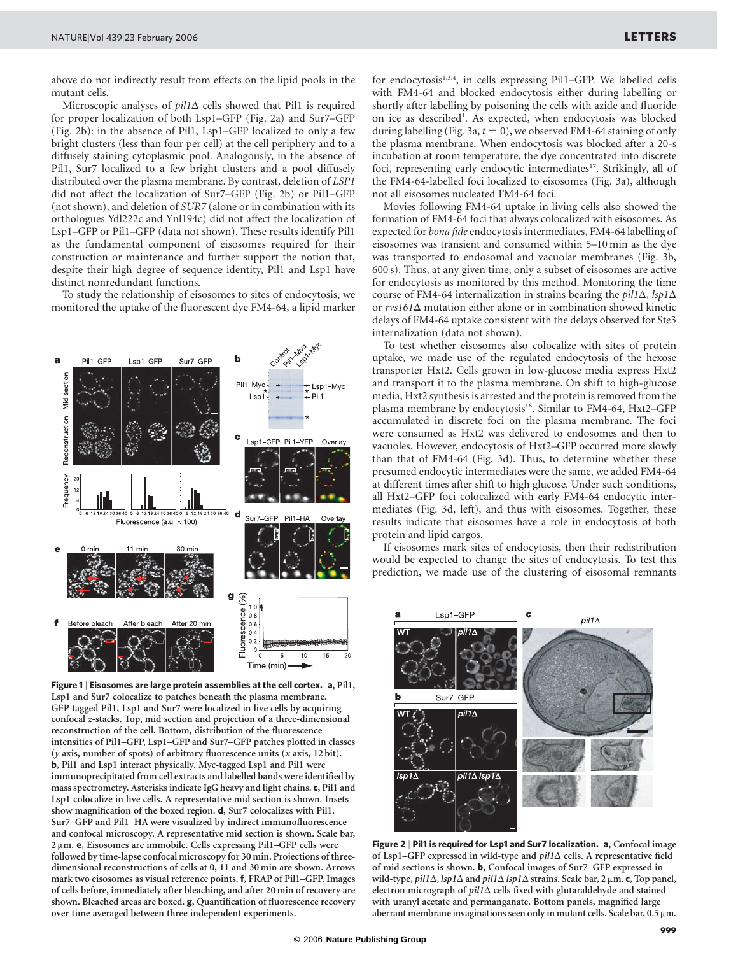above do not indirectly result from effects on the lipid pools in the mutant cells.

Microscopic analyses of  $pil1\Delta$  cells showed that Pil1 is required for proper localization of both Lsp1–GFP (Fig. 2a) and Sur7–GFP (Fig. 2b): in the absence of Pil1, Lsp1–GFP localized to only a few bright clusters (less than four per cell) at the cell periphery and to a diffusely staining cytoplasmic pool. Analogously, in the absence of Pil1, Sur7 localized to a few bright clusters and a pool diffusely distributed over the plasma membrane. By contrast, deletion of LSP1 did not affect the localization of Sur7–GFP (Fig. 2b) or Pil1–GFP (not shown), and deletion of SUR7 (alone or in combination with its orthologues Ydl222c and Ynl194c) did not affect the localization of Lsp1–GFP or Pil1–GFP (data not shown). These results identify Pil1 as the fundamental component of eisosomes required for their construction or maintenance and further support the notion that, despite their high degree of sequence identity, Pil1 and Lsp1 have distinct nonredundant functions.

To study the relationship of eisosomes to sites of endocytosis, we monitored the uptake of the fluorescent dye FM4-64, a lipid marker



Figure 1 | Eisosomes are large protein assemblies at the cell cortex. a, Pil1, Lsp1 and Sur7 colocalize to patches beneath the plasma membrane. GFP-tagged Pil1, Lsp1 and Sur7 were localized in live cells by acquiring confocal z-stacks. Top, mid section and projection of a three-dimensional reconstruction of the cell. Bottom, distribution of the fluorescence intensities of Pil1–GFP, Lsp1–GFP and Sur7–GFP patches plotted in classes  $(y \text{ axis, number of spots})$  of arbitrary fluorescence units  $(x \text{ axis, } 12 \text{ bit}).$ b, Pil1 and Lsp1 interact physically. Myc-tagged Lsp1 and Pil1 were immunoprecipitated from cell extracts and labelled bands were identified by mass spectrometry. Asterisks indicate IgG heavy and light chains. c, Pil1 and Lsp1 colocalize in live cells. A representative mid section is shown. Insets show magnification of the boxed region. **d**, Sur7 colocalizes with Pil1. Sur7–GFP and Pil1–HA were visualized by indirect immunofluorescence and confocal microscopy. A representative mid section is shown. Scale bar,  $2 \mu$ m. **e**, Eisosomes are immobile. Cells expressing Pil1–GFP cells were followed by time-lapse confocal microscopy for 30 min. Projections of threedimensional reconstructions of cells at 0, 11 and 30 min are shown. Arrows mark two eisosomes as visual reference points. f, FRAP of Pil1–GFP. Images of cells before, immediately after bleaching, and after 20 min of recovery are shown. Bleached areas are boxed. g, Quantification of fluorescence recovery over time averaged between three independent experiments.

for endocytosis<sup>1,3,4</sup>, in cells expressing Pil1-GFP. We labelled cells with FM4-64 and blocked endocytosis either during labelling or shortly after labelling by poisoning the cells with azide and fluoride on ice as described<sup>1</sup>. As expected, when endocytosis was blocked during labelling (Fig. 3a,  $t = 0$ ), we observed FM4-64 staining of only the plasma membrane. When endocytosis was blocked after a 20-s incubation at room temperature, the dye concentrated into discrete foci, representing early endocytic intermediates<sup>17</sup>. Strikingly, all of the FM4-64-labelled foci localized to eisosomes (Fig. 3a), although not all eisosomes nucleated FM4-64 foci.

Movies following FM4-64 uptake in living cells also showed the formation of FM4-64 foci that always colocalized with eisosomes. As expected for bona fide endocytosis intermediates, FM4-64 labelling of eisosomes was transient and consumed within 5–10 min as the dye was transported to endosomal and vacuolar membranes (Fig. 3b, 600 s). Thus, at any given time, only a subset of eisosomes are active for endocytosis as monitored by this method. Monitoring the time course of FM4-64 internalization in strains bearing the  $pil1\Delta$ , lsp1 $\Delta$ or  $rvs161\Delta$  mutation either alone or in combination showed kinetic delays of FM4-64 uptake consistent with the delays observed for Ste3 internalization (data not shown).

To test whether eisosomes also colocalize with sites of protein uptake, we made use of the regulated endocytosis of the hexose transporter Hxt2. Cells grown in low-glucose media express Hxt2 and transport it to the plasma membrane. On shift to high-glucose media, Hxt2 synthesis is arrested and the protein is removed from the plasma membrane by endocytosis<sup>18</sup>. Similar to FM4-64, Hxt2-GFP accumulated in discrete foci on the plasma membrane. The foci were consumed as Hxt2 was delivered to endosomes and then to vacuoles. However, endocytosis of Hxt2–GFP occurred more slowly than that of FM4-64 (Fig. 3d). Thus, to determine whether these presumed endocytic intermediates were the same, we added FM4-64 at different times after shift to high glucose. Under such conditions, all Hxt2–GFP foci colocalized with early FM4-64 endocytic intermediates (Fig. 3d, left), and thus with eisosomes. Together, these results indicate that eisosomes have a role in endocytosis of both protein and lipid cargos.

If eisosomes mark sites of endocytosis, then their redistribution would be expected to change the sites of endocytosis. To test this prediction, we made use of the clustering of eisosomal remnants



Figure 2 | Pil1 is required for Lsp1 and Sur7 localization. a, Confocal image of Lsp1–GFP expressed in wild-type and  $pil1\Delta$  cells. A representative field of mid sections is shown. b, Confocal images of Sur7–GFP expressed in wild-type,  $pil1\Delta$ ,  $lsp1\Delta$  and  $pil1\Delta$   $lsp1\Delta$  strains. Scale bar, 2  $\mu$ m. c, Top panel, electron micrograph of  $pil1\Delta$  cells fixed with glutaraldehyde and stained with uranyl acetate and permanganate. Bottom panels, magnified large aberrant membrane invaginations seen only in mutant cells. Scale bar,  $0.5 \mu m$ .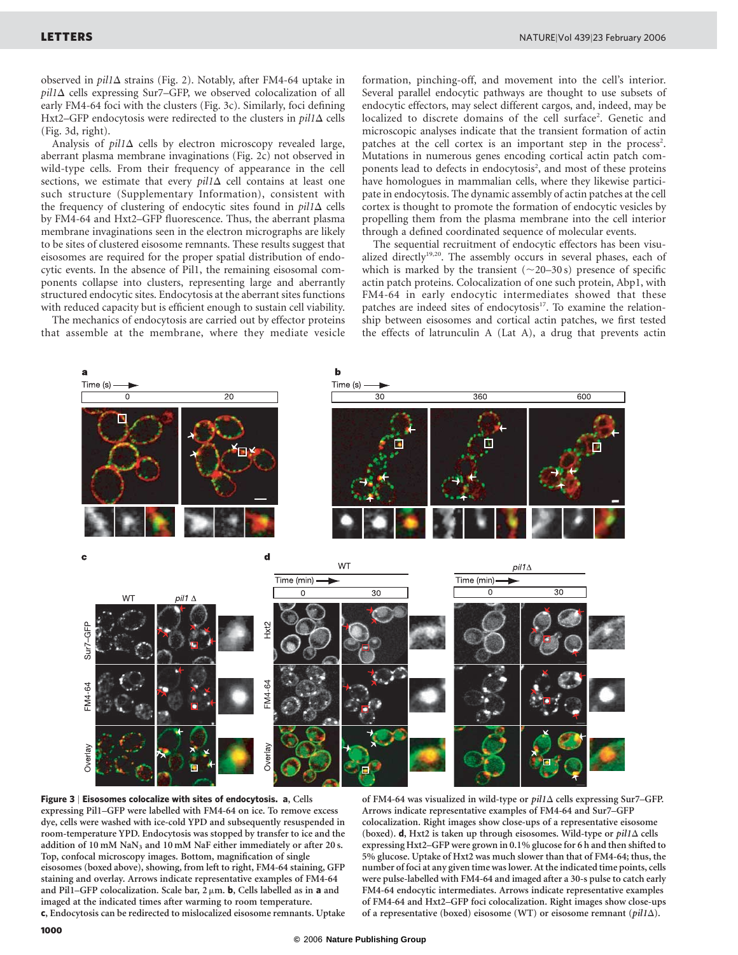observed in  $pil1\Delta$  strains (Fig. 2). Notably, after FM4-64 uptake in  $pil1\Delta$  cells expressing Sur7–GFP, we observed colocalization of all early FM4-64 foci with the clusters (Fig. 3c). Similarly, foci defining Hxt2–GFP endocytosis were redirected to the clusters in  $pil1\Delta$  cells (Fig. 3d, right).

Analysis of  $pil1\Delta$  cells by electron microscopy revealed large, aberrant plasma membrane invaginations (Fig. 2c) not observed in wild-type cells. From their frequency of appearance in the cell sections, we estimate that every  $pil1\Delta$  cell contains at least one such structure (Supplementary Information), consistent with the frequency of clustering of endocytic sites found in  $pil1\Delta$  cells by FM4-64 and Hxt2–GFP fluorescence. Thus, the aberrant plasma membrane invaginations seen in the electron micrographs are likely to be sites of clustered eisosome remnants. These results suggest that eisosomes are required for the proper spatial distribution of endocytic events. In the absence of Pil1, the remaining eisosomal components collapse into clusters, representing large and aberrantly structured endocytic sites. Endocytosis at the aberrant sites functions with reduced capacity but is efficient enough to sustain cell viability.

The mechanics of endocytosis are carried out by effector proteins that assemble at the membrane, where they mediate vesicle

formation, pinching-off, and movement into the cell's interior. Several parallel endocytic pathways are thought to use subsets of endocytic effectors, may select different cargos, and, indeed, may be localized to discrete domains of the cell surface<sup>2</sup>. Genetic and microscopic analyses indicate that the transient formation of actin patches at the cell cortex is an important step in the process<sup>2</sup>. Mutations in numerous genes encoding cortical actin patch components lead to defects in endocytosis<sup>2</sup>, and most of these proteins have homologues in mammalian cells, where they likewise participate in endocytosis. The dynamic assembly of actin patches at the cell cortex is thought to promote the formation of endocytic vesicles by propelling them from the plasma membrane into the cell interior through a defined coordinated sequence of molecular events.

The sequential recruitment of endocytic effectors has been visualized directly<sup>19,20</sup>. The assembly occurs in several phases, each of which is marked by the transient  $(\sim 20-30 \text{ s})$  presence of specific actin patch proteins. Colocalization of one such protein, Abp1, with FM4-64 in early endocytic intermediates showed that these patches are indeed sites of endocytosis<sup>17</sup>. To examine the relationship between eisosomes and cortical actin patches, we first tested the effects of latrunculin A (Lat A), a drug that prevents actin



Figure 3 | Eisosomes colocalize with sites of endocytosis. a, Cells expressing Pil1–GFP were labelled with FM4-64 on ice. To remove excess dye, cells were washed with ice-cold YPD and subsequently resuspended in room-temperature YPD. Endocytosis was stopped by transfer to ice and the addition of 10 mM NaN<sub>3</sub> and 10 mM NaF either immediately or after 20 s. Top, confocal microscopy images. Bottom, magnification of single eisosomes (boxed above), showing, from left to right, FM4-64 staining, GFP staining and overlay. Arrows indicate representative examples of FM4-64 and Pil1–GFP colocalization. Scale bar,  $2 \mu m$ . b, Cells labelled as in a and imaged at the indicated times after warming to room temperature.

c, Endocytosis can be redirected to mislocalized eisosome remnants. Uptake

of FM4-64 was visualized in wild-type or  $pil1\Delta$  cells expressing Sur7–GFP. Arrows indicate representative examples of FM4-64 and Sur7–GFP colocalization. Right images show close-ups of a representative eisosome (boxed). d, Hxt2 is taken up through eisosomes. Wild-type or  $pil1\Delta$  cells expressing Hxt2–GFP were grown in 0.1% glucose for 6 h and then shifted to 5% glucose. Uptake of Hxt2 was much slower than that of FM4-64; thus, the number of foci at any given time was lower. At the indicated time points, cells were pulse-labelled with FM4-64 and imaged after a 30-s pulse to catch early FM4-64 endocytic intermediates. Arrows indicate representative examples of FM4-64 and Hxt2–GFP foci colocalization. Right images show close-ups of a representative (boxed) eisosome (WT) or eisosome remnant ( $pil1\Delta$ ).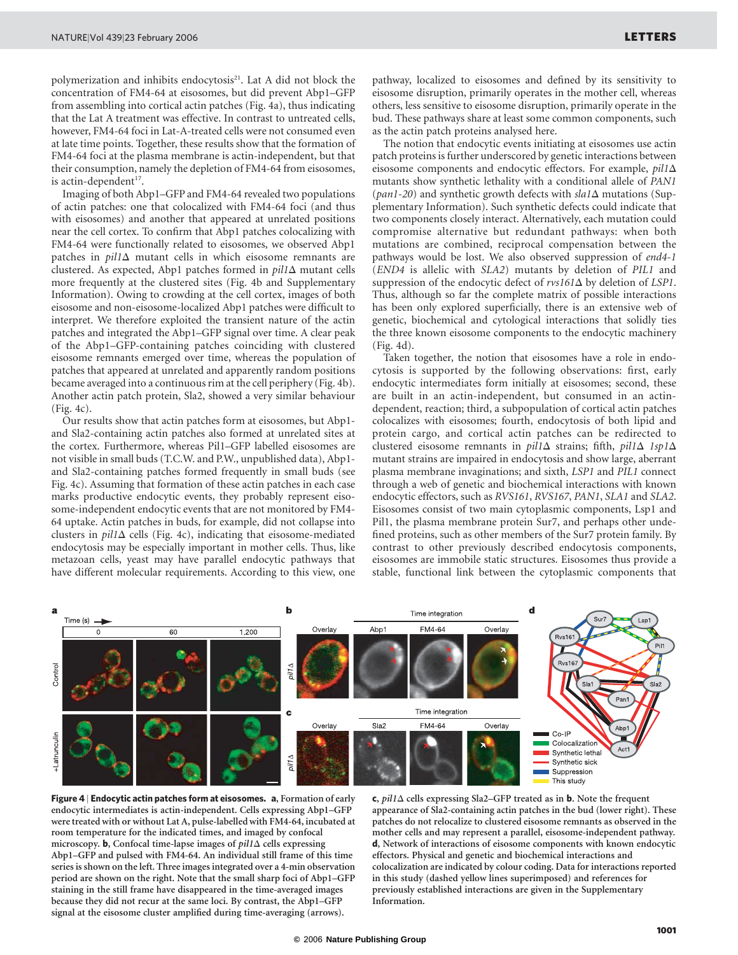polymerization and inhibits endocytosis<sup>21</sup>. Lat A did not block the concentration of FM4-64 at eisosomes, but did prevent Abp1–GFP from assembling into cortical actin patches (Fig. 4a), thus indicating that the Lat A treatment was effective. In contrast to untreated cells, however, FM4-64 foci in Lat-A-treated cells were not consumed even at late time points. Together, these results show that the formation of FM4-64 foci at the plasma membrane is actin-independent, but that their consumption, namely the depletion of FM4-64 from eisosomes, is actin-dependent $17$ .

Imaging of both Abp1–GFP and FM4-64 revealed two populations of actin patches: one that colocalized with FM4-64 foci (and thus with eisosomes) and another that appeared at unrelated positions near the cell cortex. To confirm that Abp1 patches colocalizing with FM4-64 were functionally related to eisosomes, we observed Abp1 patches in  $pil1\Delta$  mutant cells in which eisosome remnants are clustered. As expected, Abp1 patches formed in  $pil1\Delta$  mutant cells more frequently at the clustered sites (Fig. 4b and Supplementary Information). Owing to crowding at the cell cortex, images of both eisosome and non-eisosome-localized Abp1 patches were difficult to interpret. We therefore exploited the transient nature of the actin patches and integrated the Abp1–GFP signal over time. A clear peak of the Abp1–GFP-containing patches coinciding with clustered eisosome remnants emerged over time, whereas the population of patches that appeared at unrelated and apparently random positions became averaged into a continuous rim at the cell periphery (Fig. 4b). Another actin patch protein, Sla2, showed a very similar behaviour (Fig. 4c).

Our results show that actin patches form at eisosomes, but Abp1 and Sla2-containing actin patches also formed at unrelated sites at the cortex. Furthermore, whereas Pil1–GFP labelled eisosomes are not visible in small buds (T.C.W. and P.W., unpublished data), Abp1 and Sla2-containing patches formed frequently in small buds (see Fig. 4c). Assuming that formation of these actin patches in each case marks productive endocytic events, they probably represent eisosome-independent endocytic events that are not monitored by FM4- 64 uptake. Actin patches in buds, for example, did not collapse into clusters in  $pil1\Delta$  cells (Fig. 4c), indicating that eisosome-mediated endocytosis may be especially important in mother cells. Thus, like metazoan cells, yeast may have parallel endocytic pathways that have different molecular requirements. According to this view, one

pathway, localized to eisosomes and defined by its sensitivity to eisosome disruption, primarily operates in the mother cell, whereas others, less sensitive to eisosome disruption, primarily operate in the bud. These pathways share at least some common components, such as the actin patch proteins analysed here.

The notion that endocytic events initiating at eisosomes use actin patch proteins is further underscored by genetic interactions between eisosome components and endocytic effectors. For example,  $pil1\Delta$ mutants show synthetic lethality with a conditional allele of PAN1 (pan1-20) and synthetic growth defects with  $sla1\Delta$  mutations (Supplementary Information). Such synthetic defects could indicate that two components closely interact. Alternatively, each mutation could compromise alternative but redundant pathways: when both mutations are combined, reciprocal compensation between the pathways would be lost. We also observed suppression of end4-1 (END4 is allelic with SLA2) mutants by deletion of PIL1 and suppression of the endocytic defect of  $rvs161\Delta$  by deletion of LSP1. Thus, although so far the complete matrix of possible interactions has been only explored superficially, there is an extensive web of genetic, biochemical and cytological interactions that solidly ties the three known eisosome components to the endocytic machinery (Fig. 4d).

Taken together, the notion that eisosomes have a role in endocytosis is supported by the following observations: first, early endocytic intermediates form initially at eisosomes; second, these are built in an actin-independent, but consumed in an actindependent, reaction; third, a subpopulation of cortical actin patches colocalizes with eisosomes; fourth, endocytosis of both lipid and protein cargo, and cortical actin patches can be redirected to clustered eisosome remnants in pil1 $\Delta$  strains; fifth, pil1 $\Delta$  1sp1 $\Delta$ mutant strains are impaired in endocytosis and show large, aberrant plasma membrane invaginations; and sixth, LSP1 and PIL1 connect through a web of genetic and biochemical interactions with known endocytic effectors, such as RVS161, RVS167, PAN1, SLA1 and SLA2. Eisosomes consist of two main cytoplasmic components, Lsp1 and Pil1, the plasma membrane protein Sur7, and perhaps other undefined proteins, such as other members of the Sur7 protein family. By contrast to other previously described endocytosis components, eisosomes are immobile static structures. Eisosomes thus provide a stable, functional link between the cytoplasmic components that



Figure 4 | Endocytic actin patches form at eisosomes. a, Formation of early endocytic intermediates is actin-independent. Cells expressing Abp1–GFP were treated with or without Lat A, pulse-labelled with FM4-64, incubated at room temperature for the indicated times, and imaged by confocal microscopy. **b**, Confocal time-lapse images of  $pil1\Delta$  cells expressing Abp1–GFP and pulsed with FM4-64. An individual still frame of this time series is shown on the left. Three images integrated over a 4-min observation period are shown on the right. Note that the small sharp foci of Abp1–GFP staining in the still frame have disappeared in the time-averaged images because they did not recur at the same loci. By contrast, the Abp1–GFP signal at the eisosome cluster amplified during time-averaging (arrows).

c,  $pil1\Delta$  cells expressing Sla2–GFP treated as in **b**. Note the frequent appearance of Sla2-containing actin patches in the bud (lower right). These patches do not relocalize to clustered eisosome remnants as observed in the mother cells and may represent a parallel, eisosome-independent pathway. d, Network of interactions of eisosome components with known endocytic effectors. Physical and genetic and biochemical interactions and colocalization are indicated by colour coding. Data for interactions reported in this study (dashed yellow lines superimposed) and references for previously established interactions are given in the Supplementary Information.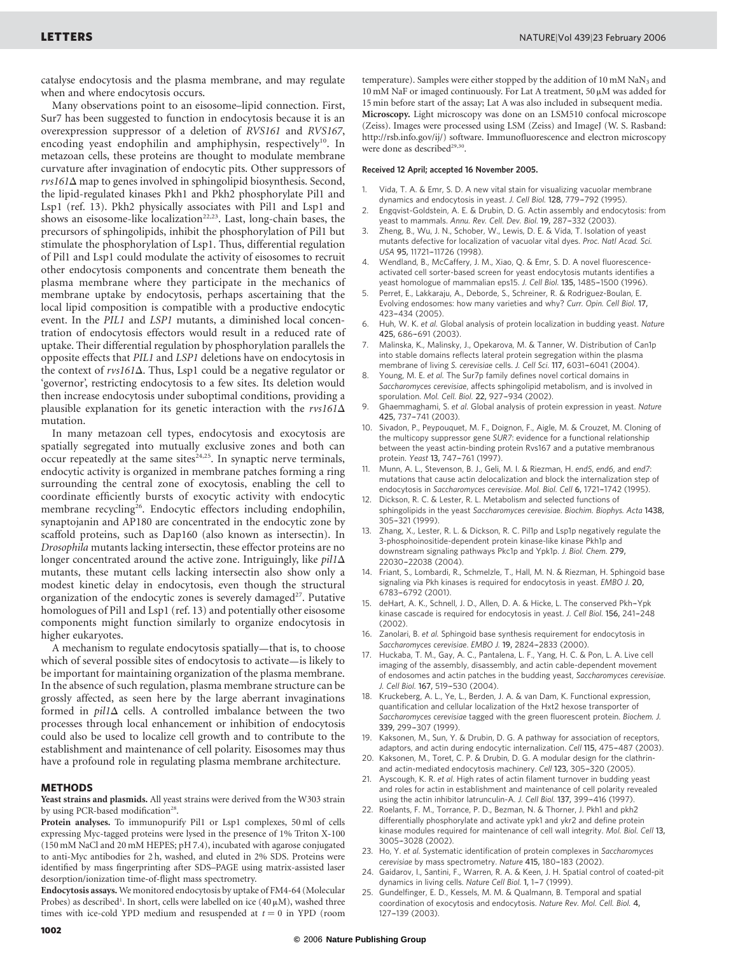catalyse endocytosis and the plasma membrane, and may regulate when and where endocytosis occurs.

Many observations point to an eisosome–lipid connection. First, Sur7 has been suggested to function in endocytosis because it is an overexpression suppressor of a deletion of RVS161 and RVS167, encoding yeast endophilin and amphiphysin, respectively<sup>10</sup>. In metazoan cells, these proteins are thought to modulate membrane curvature after invagination of endocytic pits. Other suppressors of  $rvs161\Delta$  map to genes involved in sphingolipid biosynthesis. Second, the lipid-regulated kinases Pkh1 and Pkh2 phosphorylate Pil1 and Lsp1 (ref. 13). Pkh2 physically associates with Pil1 and Lsp1 and shows an eisosome-like localization<sup>22,23</sup>. Last, long-chain bases, the precursors of sphingolipids, inhibit the phosphorylation of Pil1 but stimulate the phosphorylation of Lsp1. Thus, differential regulation of Pil1 and Lsp1 could modulate the activity of eisosomes to recruit other endocytosis components and concentrate them beneath the plasma membrane where they participate in the mechanics of membrane uptake by endocytosis, perhaps ascertaining that the local lipid composition is compatible with a productive endocytic event. In the PIL1 and LSP1 mutants, a diminished local concentration of endocytosis effectors would result in a reduced rate of uptake. Their differential regulation by phosphorylation parallels the opposite effects that PIL1 and LSP1 deletions have on endocytosis in the context of  $rvs161\Delta$ . Thus, Lsp1 could be a negative regulator or 'governor', restricting endocytosis to a few sites. Its deletion would then increase endocytosis under suboptimal conditions, providing a plausible explanation for its genetic interaction with the  $rvs161\Delta$ mutation.

In many metazoan cell types, endocytosis and exocytosis are spatially segregated into mutually exclusive zones and both can occur repeatedly at the same sites $24,25$ . In synaptic nerve terminals, endocytic activity is organized in membrane patches forming a ring surrounding the central zone of exocytosis, enabling the cell to coordinate efficiently bursts of exocytic activity with endocytic membrane recycling26. Endocytic effectors including endophilin, synaptojanin and AP180 are concentrated in the endocytic zone by scaffold proteins, such as Dap160 (also known as intersectin). In Drosophila mutants lacking intersectin, these effector proteins are no longer concentrated around the active zone. Intriguingly, like  $pil1\Delta$ mutants, these mutant cells lacking intersectin also show only a modest kinetic delay in endocytosis, even though the structural organization of the endocytic zones is severely damaged<sup>27</sup>. Putative homologues of Pil1 and Lsp1 (ref. 13) and potentially other eisosome components might function similarly to organize endocytosis in higher eukaryotes.

A mechanism to regulate endocytosis spatially—that is, to choose which of several possible sites of endocytosis to activate—is likely to be important for maintaining organization of the plasma membrane. In the absence of such regulation, plasma membrane structure can be grossly affected, as seen here by the large aberrant invaginations formed in  $pil1\Delta$  cells. A controlled imbalance between the two processes through local enhancement or inhibition of endocytosis could also be used to localize cell growth and to contribute to the establishment and maintenance of cell polarity. Eisosomes may thus have a profound role in regulating plasma membrane architecture.

## METHODS

Yeast strains and plasmids. All yeast strains were derived from the W303 strain by using PCR-based modification<sup>28</sup>.

Protein analyses. To immunopurify Pil1 or Lsp1 complexes, 50 ml of cells expressing Myc-tagged proteins were lysed in the presence of 1% Triton X-100 (150 mM NaCl and 20 mM HEPES; pH 7.4), incubated with agarose conjugated to anti-Myc antibodies for 2 h, washed, and eluted in 2% SDS. Proteins were identified by mass fingerprinting after SDS–PAGE using matrix-assisted laser desorption/ionization time-of-flight mass spectrometry.

Endocytosis assays. We monitored endocytosis by uptake of FM4-64 (Molecular Probes) as described<sup>1</sup>. In short, cells were labelled on ice  $(40 \,\mu\mathrm{M})$ , washed three times with ice-cold YPD medium and resuspended at  $t = 0$  in YPD (room temperature). Samples were either stopped by the addition of 10 mM  $\text{NaN}_3$  and 10 mM NaF or imaged continuously. For Lat A treatment, 50  $\mu$ M was added for 15 min before start of the assay; Lat A was also included in subsequent media. Microscopy. Light microscopy was done on an LSM510 confocal microscope (Zeiss). Images were processed using LSM (Zeiss) and ImageJ (W. S. Rasband: http://rsb.info.gov/ij/) software. Immunofluorescence and electron microscopy were done as described<sup>29,30</sup>.

## Received 12 April; accepted 16 November 2005.

- 1. Vida, T. A. & Emr, S. D. A new vital stain for visualizing vacuolar membrane dynamics and endocytosis in yeast. J. Cell Biol. 128, 779–-792 (1995).
- 2. Engqvist-Goldstein, A. E. & Drubin, D. G. Actin assembly and endocytosis: from yeast to mammals. Annu. Rev. Cell. Dev. Biol. 19, 287-332 (2003).
- 3. Zheng, B., Wu, J. N., Schober, W., Lewis, D. E. & Vida, T. Isolation of yeast mutants defective for localization of vacuolar vital dyes. Proc. Natl Acad. Sci. USA 95, 11721-11726 (1998).
- 4. Wendland, B., McCaffery, J. M., Xiao, Q. & Emr, S. D. A novel fluorescenceactivated cell sorter-based screen for yeast endocytosis mutants identifies a yeast homologue of mammalian eps15. J. Cell Biol. 135, 1485-1500 (1996).
- Perret, E., Lakkaraju, A., Deborde, S., Schreiner, R. & Rodriguez-Boulan, E. Evolving endosomes: how many varieties and why? Curr. Opin. Cell Biol. 17, 423–-434 (2005).
- Huh, W. K. et al. Global analysis of protein localization in budding yeast. Nature 425, 686-691 (2003).
- 7. Malinska, K., Malinsky, J., Opekarova, M. & Tanner, W. Distribution of Can1p into stable domains reflects lateral protein segregation within the plasma membrane of living S. cerevisiae cells. J. Cell Sci. 117, 6031-6041 (2004).
- Young, M. E. et al. The Sur7p family defines novel cortical domains in Saccharomyces cerevisiae, affects sphingolipid metabolism, and is involved in sporulation. Mol. Cell. Biol. 22, 927-934 (2002).
- Ghaemmaghami, S. et al. Global analysis of protein expression in yeast. Nature 425, 737–-741 (2003).
- 10. Sivadon, P., Peypouquet, M. F., Doignon, F., Aigle, M. & Crouzet, M. Cloning of the multicopy suppressor gene SUR7: evidence for a functional relationship between the yeast actin-binding protein Rvs167 and a putative membranous protein. Yeast 13, 747-761 (1997).
- 11. Munn, A. L., Stevenson, B. J., Geli, M. I. & Riezman, H. end5, end6, and end7: mutations that cause actin delocalization and block the internalization step of endocytosis in Saccharomyces cerevisiae. Mol. Biol. Cell 6, 1721-1742 (1995).
- 12. Dickson, R. C. & Lester, R. L. Metabolism and selected functions of sphingolipids in the yeast Saccharomyces cerevisiae. Biochim. Biophys. Acta 1438, 305–-321 (1999).
- 13. Zhang, X., Lester, R. L. & Dickson, R. C. Pil1p and Lsp1p negatively regulate the 3-phosphoinositide-dependent protein kinase-like kinase Pkh1p and downstream signaling pathways Pkc1p and Ypk1p. J. Biol. Chem. 279, 22030–-22038 (2004).
- 14. Friant, S., Lombardi, R., Schmelzle, T., Hall, M. N. & Riezman, H. Sphingoid base signaling via Pkh kinases is required for endocytosis in yeast. EMBO J. 20, 6783-6792 (2001).
- 15. deHart, A. K., Schnell, J. D., Allen, D. A. & Hicke, L. The conserved Pkh–-Ypk kinase cascade is required for endocytosis in yeast. J. Cell Biol. 156, 241-248 (2002).
- 16. Zanolari, B. et al. Sphingoid base synthesis requirement for endocytosis in Saccharomyces cerevisiae. EMBO J. 19, 2824-2833 (2000).
- 17. Huckaba, T. M., Gay, A. C., Pantalena, L. F., Yang, H. C. & Pon, L. A. Live cell imaging of the assembly, disassembly, and actin cable-dependent movement of endosomes and actin patches in the budding yeast, Saccharomyces cerevisiae. J. Cell Biol. 167, 519-530 (2004).
- 18. Kruckeberg, A. L., Ye, L., Berden, J. A. & van Dam, K. Functional expression, quantification and cellular localization of the Hxt2 hexose transporter of Saccharomyces cerevisiae tagged with the green fluorescent protein. Biochem. J. 339, 299-307 (1999).
- 19. Kaksonen, M., Sun, Y. & Drubin, D. G. A pathway for association of receptors, adaptors, and actin during endocytic internalization. Cell 115, 475-487 (2003).
- 20. Kaksonen, M., Toret, C. P. & Drubin, D. G. A modular design for the clathrinand actin-mediated endocytosis machinery. Cell 123, 305-320 (2005).
- 21. Ayscough, K. R. et al. High rates of actin filament turnover in budding yeast and roles for actin in establishment and maintenance of cell polarity revealed using the actin inhibitor latrunculin-A. J. Cell Biol. 137, 399-416 (1997).
- 22. Roelants, F. M., Torrance, P. D., Bezman, N. & Thorner, J. Pkh1 and pkh2 differentially phosphorylate and activate ypk1 and ykr2 and define protein kinase modules required for maintenance of cell wall integrity. Mol. Biol. Cell 13, 3005–-3028 (2002).
- 23. Ho, Y. et al. Systematic identification of protein complexes in Saccharomyces cerevisiae by mass spectrometry. Nature 415, 180-183 (2002).
- 24. Gaidarov, I., Santini, F., Warren, R. A. & Keen, J. H. Spatial control of coated-pit dynamics in living cells. Nature Cell Biol. 1, 1-7 (1999).
- 25. Gundelfinger, E. D., Kessels, M. M. & Qualmann, B. Temporal and spatial coordination of exocytosis and endocytosis. Nature Rev. Mol. Cell. Biol. 4, 127-139 (2003).